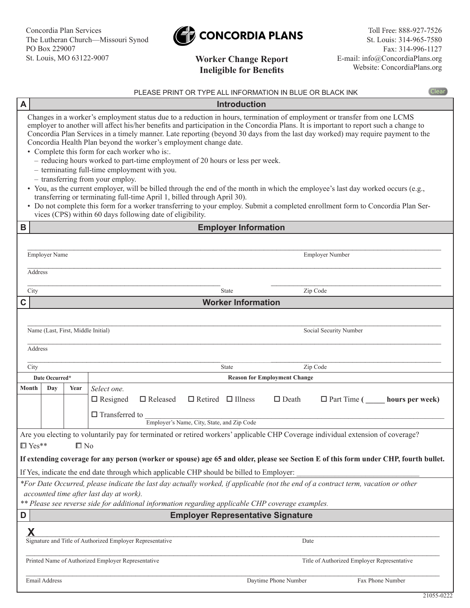

## **Worker Change Report Ineligible for Benefits**

|                                                                                                                                                                                                                                   | Clear<br>PLEASE PRINT OR TYPE ALL INFORMATION IN BLUE OR BLACK INK                                                                                                                                                                                                                                                                                                                                                                                                                                                                                                                                                                                                                                                                                                                                                                                                                                                                                                                                                                                                                                               |      |                                          |                 |                               |                                     |              |                    |                  |  |
|-----------------------------------------------------------------------------------------------------------------------------------------------------------------------------------------------------------------------------------|------------------------------------------------------------------------------------------------------------------------------------------------------------------------------------------------------------------------------------------------------------------------------------------------------------------------------------------------------------------------------------------------------------------------------------------------------------------------------------------------------------------------------------------------------------------------------------------------------------------------------------------------------------------------------------------------------------------------------------------------------------------------------------------------------------------------------------------------------------------------------------------------------------------------------------------------------------------------------------------------------------------------------------------------------------------------------------------------------------------|------|------------------------------------------|-----------------|-------------------------------|-------------------------------------|--------------|--------------------|------------------|--|
| A                                                                                                                                                                                                                                 | <b>Introduction</b>                                                                                                                                                                                                                                                                                                                                                                                                                                                                                                                                                                                                                                                                                                                                                                                                                                                                                                                                                                                                                                                                                              |      |                                          |                 |                               |                                     |              |                    |                  |  |
|                                                                                                                                                                                                                                   | Changes in a worker's employment status due to a reduction in hours, termination of employment or transfer from one LCMS<br>employer to another will affect his/her benefits and participation in the Concordia Plans. It is important to report such a change to<br>Concordia Plan Services in a timely manner. Late reporting (beyond 30 days from the last day worked) may require payment to the<br>Concordia Health Plan beyond the worker's employment change date.<br>• Complete this form for each worker who is:.<br>- reducing hours worked to part-time employment of 20 hours or less per week.<br>- terminating full-time employment with you.<br>- transferring from your employ.<br>• You, as the current employer, will be billed through the end of the month in which the employee's last day worked occurs (e.g.,<br>transferring or terminating full-time April 1, billed through April 30).<br>• Do not complete this form for a worker transferring to your employ. Submit a completed enrollment form to Concordia Plan Ser-<br>vices (CPS) within 60 days following date of eligibility. |      |                                          |                 |                               |                                     |              |                    |                  |  |
| B                                                                                                                                                                                                                                 | <b>Employer Information</b>                                                                                                                                                                                                                                                                                                                                                                                                                                                                                                                                                                                                                                                                                                                                                                                                                                                                                                                                                                                                                                                                                      |      |                                          |                 |                               |                                     |              |                    |                  |  |
|                                                                                                                                                                                                                                   |                                                                                                                                                                                                                                                                                                                                                                                                                                                                                                                                                                                                                                                                                                                                                                                                                                                                                                                                                                                                                                                                                                                  |      |                                          |                 |                               |                                     |              |                    |                  |  |
|                                                                                                                                                                                                                                   | Employer Name                                                                                                                                                                                                                                                                                                                                                                                                                                                                                                                                                                                                                                                                                                                                                                                                                                                                                                                                                                                                                                                                                                    |      |                                          |                 |                               | <b>Employer Number</b>              |              |                    |                  |  |
|                                                                                                                                                                                                                                   | Address                                                                                                                                                                                                                                                                                                                                                                                                                                                                                                                                                                                                                                                                                                                                                                                                                                                                                                                                                                                                                                                                                                          |      |                                          |                 |                               |                                     |              |                    |                  |  |
| City                                                                                                                                                                                                                              |                                                                                                                                                                                                                                                                                                                                                                                                                                                                                                                                                                                                                                                                                                                                                                                                                                                                                                                                                                                                                                                                                                                  |      |                                          |                 |                               | State                               |              | Zip Code           |                  |  |
| C                                                                                                                                                                                                                                 |                                                                                                                                                                                                                                                                                                                                                                                                                                                                                                                                                                                                                                                                                                                                                                                                                                                                                                                                                                                                                                                                                                                  |      |                                          |                 |                               | <b>Worker Information</b>           |              |                    |                  |  |
| City                                                                                                                                                                                                                              | Name (Last, First, Middle Initial)<br>Social Security Number<br>Address<br>Zip Code<br><b>State</b>                                                                                                                                                                                                                                                                                                                                                                                                                                                                                                                                                                                                                                                                                                                                                                                                                                                                                                                                                                                                              |      |                                          |                 |                               |                                     |              |                    |                  |  |
| Date Occurred*                                                                                                                                                                                                                    |                                                                                                                                                                                                                                                                                                                                                                                                                                                                                                                                                                                                                                                                                                                                                                                                                                                                                                                                                                                                                                                                                                                  |      |                                          |                 |                               | <b>Reason for Employment Change</b> |              |                    |                  |  |
| Month                                                                                                                                                                                                                             | Day                                                                                                                                                                                                                                                                                                                                                                                                                                                                                                                                                                                                                                                                                                                                                                                                                                                                                                                                                                                                                                                                                                              | Year | Select one.                              |                 |                               |                                     |              |                    |                  |  |
|                                                                                                                                                                                                                                   |                                                                                                                                                                                                                                                                                                                                                                                                                                                                                                                                                                                                                                                                                                                                                                                                                                                                                                                                                                                                                                                                                                                  |      | $\Box$ Resigned<br>$\Box$ Transferred to | $\Box$ Released | $\Box$ Retired $\Box$ Illness |                                     | $\Box$ Death | $\Box$ Part Time ( | hours per week)  |  |
|                                                                                                                                                                                                                                   | Employer's Name, City, State, and Zip Code                                                                                                                                                                                                                                                                                                                                                                                                                                                                                                                                                                                                                                                                                                                                                                                                                                                                                                                                                                                                                                                                       |      |                                          |                 |                               |                                     |              |                    |                  |  |
| Are you electing to voluntarily pay for terminated or retired workers' applicable CHP Coverage individual extension of coverage?                                                                                                  |                                                                                                                                                                                                                                                                                                                                                                                                                                                                                                                                                                                                                                                                                                                                                                                                                                                                                                                                                                                                                                                                                                                  |      |                                          |                 |                               |                                     |              |                    |                  |  |
| $\Box$ Yes**<br>$\square$ No                                                                                                                                                                                                      |                                                                                                                                                                                                                                                                                                                                                                                                                                                                                                                                                                                                                                                                                                                                                                                                                                                                                                                                                                                                                                                                                                                  |      |                                          |                 |                               |                                     |              |                    |                  |  |
| If extending coverage for any person (worker or spouse) age 65 and older, please see Section E of this form under CHP, fourth bullet.<br>If Yes, indicate the end date through which applicable CHP should be billed to Employer: |                                                                                                                                                                                                                                                                                                                                                                                                                                                                                                                                                                                                                                                                                                                                                                                                                                                                                                                                                                                                                                                                                                                  |      |                                          |                 |                               |                                     |              |                    |                  |  |
| *For Date Occurred, please indicate the last day actually worked, if applicable (not the end of a contract term, vacation or other                                                                                                |                                                                                                                                                                                                                                                                                                                                                                                                                                                                                                                                                                                                                                                                                                                                                                                                                                                                                                                                                                                                                                                                                                                  |      |                                          |                 |                               |                                     |              |                    |                  |  |
| accounted time after last day at work).<br>** Please see reverse side for additional information regarding applicable CHP coverage examples.                                                                                      |                                                                                                                                                                                                                                                                                                                                                                                                                                                                                                                                                                                                                                                                                                                                                                                                                                                                                                                                                                                                                                                                                                                  |      |                                          |                 |                               |                                     |              |                    |                  |  |
| D                                                                                                                                                                                                                                 | <b>Employer Representative Signature</b>                                                                                                                                                                                                                                                                                                                                                                                                                                                                                                                                                                                                                                                                                                                                                                                                                                                                                                                                                                                                                                                                         |      |                                          |                 |                               |                                     |              |                    |                  |  |
| Χ<br>Signature and Title of Authorized Employer Representative<br>Date<br>Printed Name of Authorized Employer Representative<br>Title of Authorized Employer Representative                                                       |                                                                                                                                                                                                                                                                                                                                                                                                                                                                                                                                                                                                                                                                                                                                                                                                                                                                                                                                                                                                                                                                                                                  |      |                                          |                 |                               |                                     |              |                    |                  |  |
|                                                                                                                                                                                                                                   |                                                                                                                                                                                                                                                                                                                                                                                                                                                                                                                                                                                                                                                                                                                                                                                                                                                                                                                                                                                                                                                                                                                  |      |                                          |                 |                               |                                     |              |                    |                  |  |
| Email Address                                                                                                                                                                                                                     |                                                                                                                                                                                                                                                                                                                                                                                                                                                                                                                                                                                                                                                                                                                                                                                                                                                                                                                                                                                                                                                                                                                  |      |                                          |                 |                               | Daytime Phone Number                |              |                    | Fax Phone Number |  |